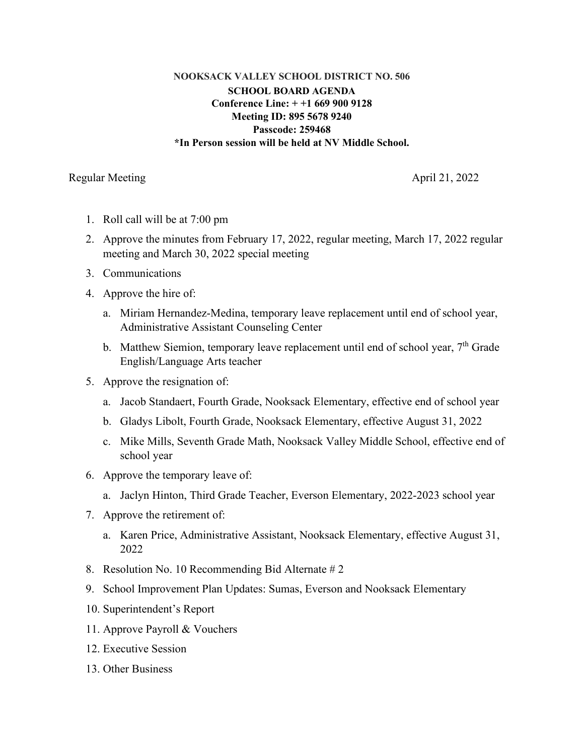## **NOOKSACK VALLEY SCHOOL DISTRICT NO. 506 SCHOOL BOARD AGENDA Conference Line: + +1 669 900 9128 Meeting ID: 895 5678 9240 Passcode: 259468 \*In Person session will be held at NV Middle School.**

Regular Meeting April 21, 2022

- 1. Roll call will be at 7:00 pm
- 2. Approve the minutes from February 17, 2022, regular meeting, March 17, 2022 regular meeting and March 30, 2022 special meeting
- 3. Communications
- 4. Approve the hire of:
	- a. Miriam Hernandez-Medina, temporary leave replacement until end of school year, Administrative Assistant Counseling Center
	- b. Matthew Siemion, temporary leave replacement until end of school year, 7<sup>th</sup> Grade English/Language Arts teacher
- 5. Approve the resignation of:
	- a. Jacob Standaert, Fourth Grade, Nooksack Elementary, effective end of school year
	- b. Gladys Libolt, Fourth Grade, Nooksack Elementary, effective August 31, 2022
	- c. Mike Mills, Seventh Grade Math, Nooksack Valley Middle School, effective end of school year
- 6. Approve the temporary leave of:
	- a. Jaclyn Hinton, Third Grade Teacher, Everson Elementary, 2022-2023 school year
- 7. Approve the retirement of:
	- a. Karen Price, Administrative Assistant, Nooksack Elementary, effective August 31, 2022
- 8. Resolution No. 10 Recommending Bid Alternate # 2
- 9. School Improvement Plan Updates: Sumas, Everson and Nooksack Elementary
- 10. Superintendent's Report
- 11. Approve Payroll & Vouchers
- 12. Executive Session
- 13. Other Business